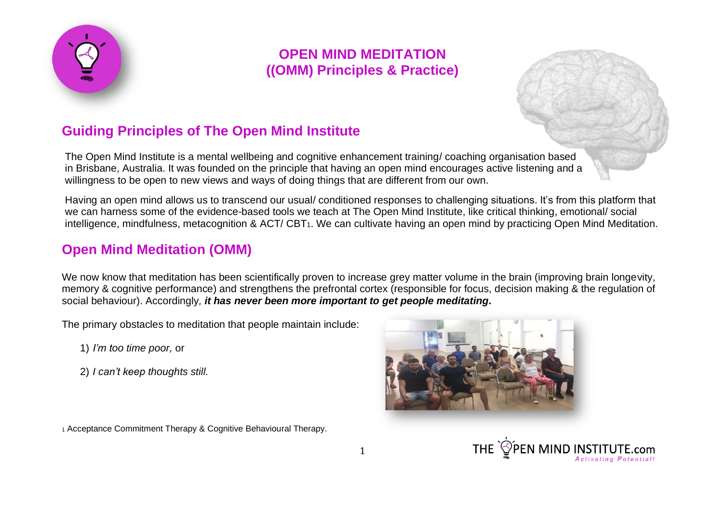

# **Guiding Principles of The Open Mind Institute**

The Open Mind Institute is a mental wellbeing and cognitive enhancement training/ coaching organisation based in Brisbane, Australia. It was founded on the principle that having an open mind encourages active listening and a willingness to be open to new views and ways of doing things that are different from our own.

Having an open mind allows us to transcend our usual/ conditioned responses to challenging situations. It's from this platform that we can harness some of the evidence-based tools we teach at The Open Mind Institute, like critical thinking, emotional/ social intelligence, mindfulness, metacognition & ACT/ CBT<sub>1</sub>. We can cultivate having an open mind by practicing Open Mind Meditation.

### **Open Mind Meditation (OMM)**

We now know that meditation has been scientifically proven to increase grey matter volume in the brain (improving brain longevity, memory & cognitive performance) and strengthens the prefrontal cortex (responsible for focus, decision making & the regulation of social behaviour). Accordingly*, it has never been more important to get people meditating.*

The primary obstacles to meditation that people maintain include:

1) *I'm too time poor,* or

2) *I can't keep thoughts still.*



<sup>1</sup> Acceptance Commitment Therapy & Cognitive Behavioural Therapy.

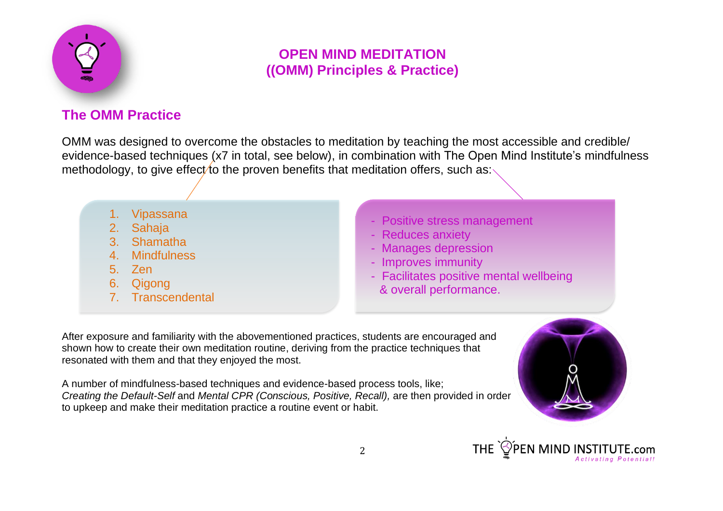

# **The OMM Practice**

OMM was designed to overcome the obstacles to meditation by teaching the most accessible and credible/ evidence-based techniques (x7 in total, see below), in combination with The Open Mind Institute's mindfulness methodology, to give effect to the proven benefits that meditation offers, such as:

- **Vipassana**
- 2. Sahaja
- 3. Shamatha
- 4. Mindfulness
- 5. Zen
- 6. Qigong
- 7. Transcendental
- Positive stress management
- Reduces anxiety
- Manages depression
- Improves immunity
- Facilitates positive mental wellbeing & overall performance.

After exposure and familiarity with the abovementioned practices, students are encouraged and shown how to create their own meditation routine, deriving from the practice techniques that resonated with them and that they enjoyed the most.

A number of mindfulness-based techniques and evidence-based process tools, like; *Creating the Default-Self* and *Mental CPR (Conscious, Positive, Recall),* are then provided in order to upkeep and make their meditation practice a routine event or habit.



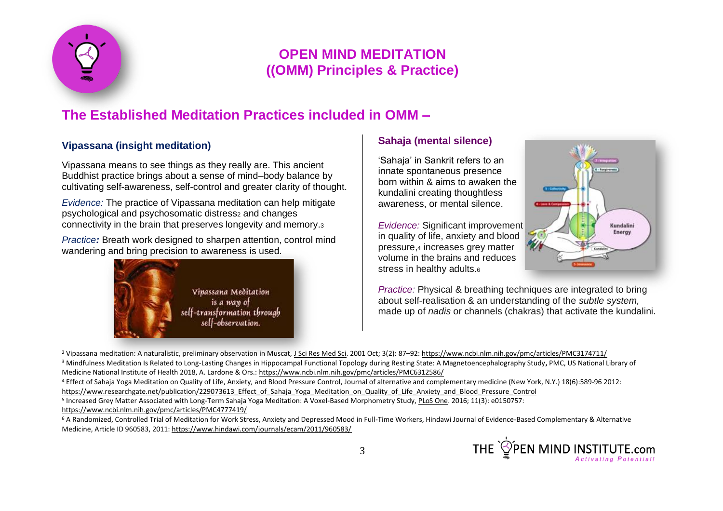

# **The Established Meditation Practices included in OMM –**

### **Vipassana (insight meditation)**

Vipassana means to see things as they really are. This ancient Buddhist practice brings about a sense of mind–body balance by cultivating self-awareness, self-control and greater clarity of thought.

*Evidence:* The practice of Vipassana meditation can help mitigate psychological and psychosomatic distress<sub>2</sub> and changes connectivity in the brain that preserves longevity and memory.<sup>3</sup>

*Practice:* Breath work designed to sharpen attention, control mind wandering and bring precision to awareness is used.



### **Sahaja (mental silence)**

'Sahaja' in Sankrit refers to an innate spontaneous presence born within & aims to awaken the kundalini creating thoughtless awareness, or mental silence.

*Evidence:* Significant improvement in quality of life, anxiety and blood pressure,<sup>4</sup> increases grey matter volume in the brains and reduces stress in healthy adults.<sup>6</sup>



*Practice:* Physical & breathing techniques are integrated to bring about self-realisation & an understanding of the *subtle system,* made up of *nadis* or channels (chakras) that activate the kundalini.

<sup>2</sup> Vipassana meditation: A naturalistic, preliminary observation in Muscat[, J Sci Res Med Sci.](https://www.ncbi.nlm.nih.gov/pmc/articles/PMC3174711/) 2001 Oct; 3(2): 87–92[: https://www.ncbi.nlm.nih.gov/pmc/articles/PMC3174711/](https://www.ncbi.nlm.nih.gov/pmc/articles/PMC3174711/) <sup>3</sup> Mindfulness Meditation Is Related to Long-Lasting Changes in Hippocampal Functional Topology during Resting State: A Magnetoencephalography Study**,** PMC, US National Library of

Medicine National Institute of Health 2018, A. Lardone & Ors.: <https://www.ncbi.nlm.nih.gov/pmc/articles/PMC6312586/>

<sup>4</sup> Effect of Sahaja Yoga Meditation on Quality of Life, Anxiety, and Blood Pressure Control, Journal of alternative and [complementary](https://www.researchgate.net/journal/1557-7708_Journal_of_alternative_and_complementary_medicine_New_York_NY) medicine (New York, N.Y.) 18(6):589-96 2012: https://www.researchgate.net/publication/229073613 Effect of Sahaja Yoga Meditation on Quality of Life Anxiety and Blood Pressure Control

<sup>5</sup> Increased Grey Matter Associated with Long-Term Sahaja Yoga Meditation: A Voxel-Based Morphometry Study[, PLoS One.](https://www.ncbi.nlm.nih.gov/pmc/articles/PMC4777419/) 2016; 11(3): e0150757: <https://www.ncbi.nlm.nih.gov/pmc/articles/PMC4777419/>

<sup>6</sup> A Randomized, Controlled Trial of Meditation for Work Stress, Anxiety and Depressed Mood in Full-Time Workers, Hindawi Journal of Evidence-Based Complementary & Alternative Medicine, Article ID 960583, 2011:<https://www.hindawi.com/journals/ecam/2011/960583/>

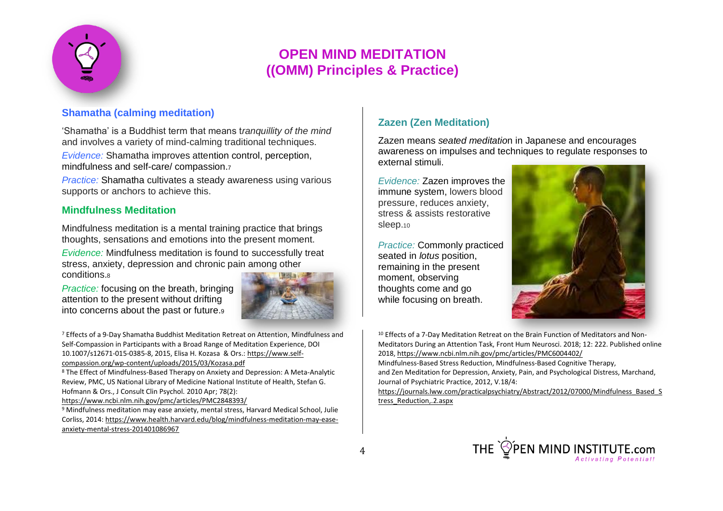

### **Shamatha (calming meditation)**

'Shamatha' is a Buddhist term that means t*ranquillity of the mind* and involves a variety of mind-calming traditional techniques.

*Evidence:* Shamatha improves attention control, perception, mindfulness and self-care/ compassion.<sup>7</sup>

*Practice:* Shamatha cultivates a steady awareness using various supports or anchors to achieve this.

#### **Mindfulness Meditation**

Mindfulness meditation is a mental training practice that brings thoughts, sensations and emotions into the present moment.

*Evidence:* Mindfulness meditation is found to successfully treat stress, anxiety, depression and chronic pain among other conditions.<sup>8</sup>

*Practice:* focusing on the breath, bringing attention to the present without drifting into concerns about the past or future.<sup>9</sup>



<sup>7</sup> Effects of a 9-Day Shamatha Buddhist Meditation Retreat on Attention, Mindfulness and Self-Compassion in Participants with a Broad Range of Meditation Experience, DOI 10.1007/s12671-015-0385-8, 2015, Elisa H. Kozasa & Ors.: [https://www.self](https://www.self-compassion.org/wp-content/uploads/2015/03/Kozasa.pdf)[compassion.org/wp-content/uploads/2015/03/Kozasa.pdf](https://www.self-compassion.org/wp-content/uploads/2015/03/Kozasa.pdf)

<sup>8</sup> The Effect of Mindfulness-Based Therapy on Anxiety and Depression: A Meta-Analytic Review, PMC, US National Library of Medicine National Institute of Health, [Stefan G.](https://www.ncbi.nlm.nih.gov/pubmed/?term=Hofmann%20SG%5BAuthor%5D&cauthor=true&cauthor_uid=20350028)  [Hofmann](https://www.ncbi.nlm.nih.gov/pubmed/?term=Hofmann%20SG%5BAuthor%5D&cauthor=true&cauthor_uid=20350028) & Ors.[, J Consult Clin Psychol. 2010 Apr; 78\(2\):](https://www.ncbi.nlm.nih.gov/entrez/eutils/elink.fcgi?dbfrom=pubmed&retmode=ref&cmd=prlinks&id=20350028)

<https://www.ncbi.nlm.nih.gov/pmc/articles/PMC2848393/>

<sup>9</sup> Mindfulness meditation may ease anxiety, mental stress, Harvard Medical School, Julie Corliss, 2014: [https://www.health.harvard.edu/blog/mindfulness-meditation-may-ease](https://www.health.harvard.edu/blog/mindfulness-meditation-may-ease-anxiety-mental-stress-201401086967)[anxiety-mental-stress-201401086967](https://www.health.harvard.edu/blog/mindfulness-meditation-may-ease-anxiety-mental-stress-201401086967)

### **Zazen (Zen Meditation)**

Zazen means *seated meditatio*n in Japanese and encourages awareness on impulses and techniques to regulate responses to external stimuli.

*Evidence:* Zazen improves the immune system, lowers blood pressure, reduces anxiety, stress & assists restorative sleep.<sub>10</sub>

*Practice:* Commonly practiced seated in *lotus* position, remaining in the present moment, observing thoughts come and go while focusing on breath.



<sup>10</sup> Effects of a 7-Day Meditation Retreat on the Brain Function of Meditators and Non-Meditators During an Attention Task[, Front Hum Neurosci.](https://www.ncbi.nlm.nih.gov/pmc/articles/PMC6004402/) 2018; 12: 222. Published online 2018,<https://www.ncbi.nlm.nih.gov/pmc/articles/PMC6004402/> Mindfulness-Based Stress Reduction, Mindfulness-Based Cognitive Therapy, and Zen Meditation for Depression, Anxiety, Pain, and Psychological Distress, Marchand, Journal of Psychiatric Practice, 2012, V.18/4: [https://journals.lww.com/practicalpsychiatry/Abstract/2012/07000/Mindfulness\\_Based\\_S](https://journals.lww.com/practicalpsychiatry/Abstract/2012/07000/Mindfulness_Based_Stress_Reduction,.2.aspx) [tress\\_Reduction,.2.aspx](https://journals.lww.com/practicalpsychiatry/Abstract/2012/07000/Mindfulness_Based_Stress_Reduction,.2.aspx)

THE  $\bigcirc \circled{P}$  PEN MIND INSTITUTE.com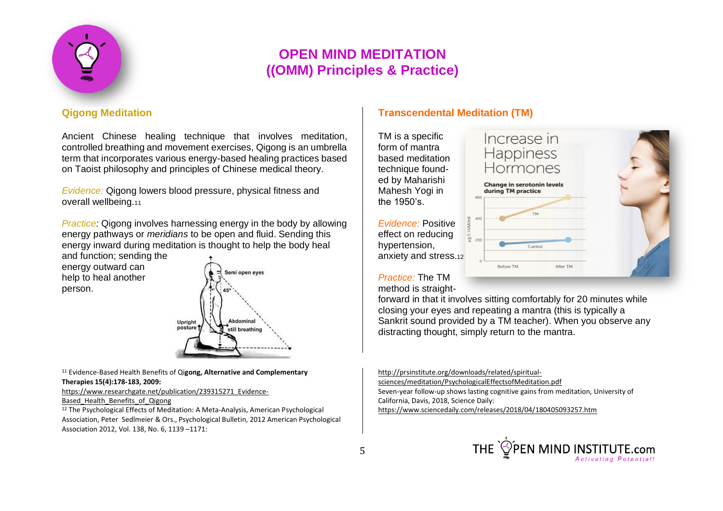

### **Qigong Meditation**

Ancient Chinese healing technique that involves meditation, controlled breathing and movement exercises, Qigong is an umbrella term that incorporates various energy-based healing practices based on Taoist philosophy and principles of Chinese medical theory.

*Evidence:* Qigong lowers blood pressure, physical fitness and overall wellbeing.<sup>11</sup>

*Practice:* Qigong involves harnessing energy in the body by allowing energy pathways or *meridians* to be open and fluid. Sending this energy inward during meditation is thought to help the body heal

and function; sending the energy outward can help to heal another person.



#### <sup>11</sup> Evidence-Based Health Benefits of Qi**gong, Alternative and [Complementary](https://www.researchgate.net/journal/1076-2809_Alternative_and_Complementary_Therapies) [Therapies](https://www.researchgate.net/journal/1076-2809_Alternative_and_Complementary_Therapies) 15(4):178-183, 2009:**

[https://www.researchgate.net/publication/239315271\\_Evidence-](https://www.researchgate.net/publication/239315271_Evidence-Based_Health_Benefits_of_Qigong)

Based Health Benefits of Qigong

<sup>12</sup> The Psychological Effects of Meditation: A Meta-Analysis, American Psychological Association, Peter Sedlmeier & Ors., Psychological Bulletin, 2012 American Psychological Association 2012, Vol. 138, No. 6, 1139 –1171:

### **Transcendental Meditation (TM)**

TM is a specific form of mantra based meditation technique founded by Maharishi Mahesh Yogi in the 1950's.

*Evidence:* Positive effect on reducing hypertension, anxiety and stress.<sup>12</sup>

Increase in Happiness Hormones

Change in serotonin levels during TM practice



*Practice:* The TM method is straight-

forward in that it involves sitting comfortably for 20 minutes while closing your eyes and repeating a mantra (this is typically a Sankrit sound provided by a TM teacher). When you observe any distracting thought, simply return to the mantra.

[sciences/meditation/PsychologicalEffectsofMeditation.pdf](http://prsinstitute.org/downloads/related/spiritual-sciences/meditation/PsychologicalEffectsofMeditation.pdf)

Seven-year follow-up shows lasting cognitive gains from meditation, University of California, Davis, 2018, Science Daily:

<https://www.sciencedaily.com/releases/2018/04/180405093257.htm>



[http://prsinstitute.org/downloads/related/spiritual-](http://prsinstitute.org/downloads/related/spiritual-sciences/meditation/PsychologicalEffectsofMeditation.pdf)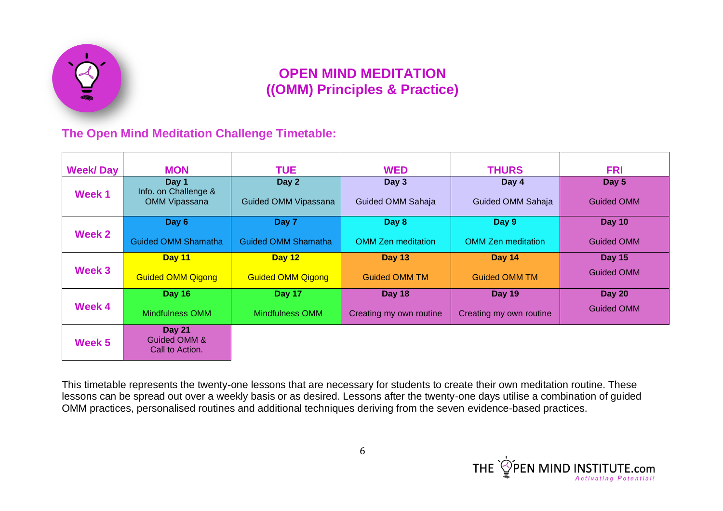

### **The Open Mind Meditation Challenge Timetable:**

| <b>Week/Day</b> | <b>MON</b>                                            | <b>TUE</b>                    | <b>WED</b>                 | <b>THURS</b>               | <b>FRI</b>                 |
|-----------------|-------------------------------------------------------|-------------------------------|----------------------------|----------------------------|----------------------------|
| Week 1          | Day 1<br>Info. on Challenge &<br><b>OMM Vipassana</b> | Day 2<br>Guided OMM Vipassana | Day 3<br>Guided OMM Sahaja | Day 4<br>Guided OMM Sahaja | Day 5<br><b>Guided OMM</b> |
| Week 2          | Day 6                                                 | Day 7                         | Day 8                      | Day 9                      | Day 10                     |
|                 | <b>Guided OMM Shamatha</b>                            | <b>Guided OMM Shamatha</b>    | <b>OMM Zen meditation</b>  | <b>OMM Zen meditation</b>  | <b>Guided OMM</b>          |
| Week 3          | Day 11                                                | Day 12                        | <b>Day 13</b>              | <b>Day 14</b>              | <b>Day 15</b>              |
|                 | <b>Guided OMM Qigong</b>                              | <b>Guided OMM Qigong</b>      | <b>Guided OMM TM</b>       | <b>Guided OMM TM</b>       | <b>Guided OMM</b>          |
| Week 4          | <b>Day 16</b>                                         | Day 17                        | <b>Day 18</b>              | <b>Day 19</b>              | <b>Day 20</b>              |
|                 | Mindfulness OMM                                       | Mindfulness OMM               | Creating my own routine    | Creating my own routine    | <b>Guided OMM</b>          |
| Week 5          | <b>Day 21</b><br>Guided OMM &<br>Call to Action.      |                               |                            |                            |                            |

This timetable represents the twenty-one lessons that are necessary for students to create their own meditation routine. These lessons can be spread out over a weekly basis or as desired. Lessons after the twenty-one days utilise a combination of guided OMM practices, personalised routines and additional techniques deriving from the seven evidence-based practices.